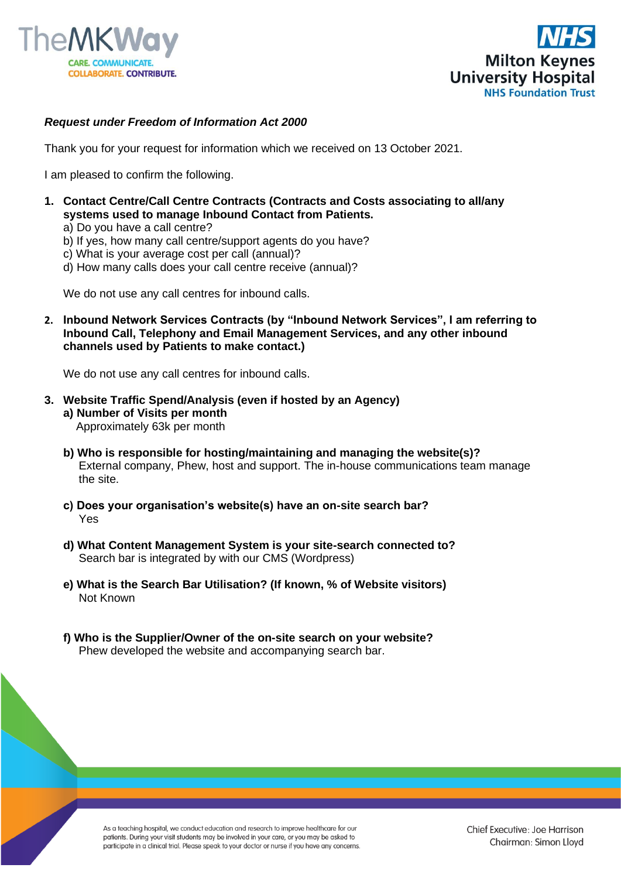



## *Request under Freedom of Information Act 2000*

Thank you for your request for information which we received on 13 October 2021.

I am pleased to confirm the following.

- **1. Contact Centre/Call Centre Contracts (Contracts and Costs associating to all/any systems used to manage Inbound Contact from Patients.**
	- a) Do you have a call centre?
	- b) If yes, how many call centre/support agents do you have?
	- c) What is your average cost per call (annual)?
	- d) How many calls does your call centre receive (annual)?

We do not use any call centres for inbound calls.

**2. Inbound Network Services Contracts (by "Inbound Network Services", I am referring to Inbound Call, Telephony and Email Management Services, and any other inbound channels used by Patients to make contact.)**

We do not use any call centres for inbound calls.

- **3. Website Traffic Spend/Analysis (even if hosted by an Agency) a) Number of Visits per month** Approximately 63k per month
	- **b) Who is responsible for hosting/maintaining and managing the website(s)?** External company, Phew, host and support. The in-house communications team manage the site.
	- **c) Does your organisation's website(s) have an on-site search bar?** Yes
	- **d) What Content Management System is your site-search connected to?** Search bar is integrated by with our CMS (Wordpress)
	- **e) What is the Search Bar Utilisation? (If known, % of Website visitors)** Not Known
	- **f) Who is the Supplier/Owner of the on-site search on your website?**  Phew developed the website and accompanying search bar.

As a teaching hospital, we conduct education and research to improve healthcare for our patients. During your visit students may be involved in your care, or you may be asked to participate in a clinical trial. Please speak to your doctor or nurse if you have any concerns.